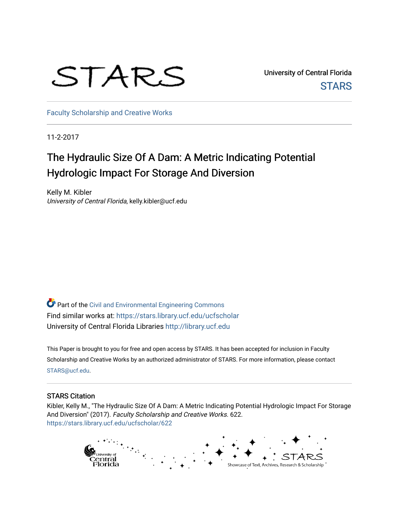# STARS

University of Central Florida **STARS** 

[Faculty Scholarship and Creative Works](https://stars.library.ucf.edu/ucfscholar) 

11-2-2017

## The Hydraulic Size Of A Dam: A Metric Indicating Potential Hydrologic Impact For Storage And Diversion

Kelly M. Kibler University of Central Florida, kelly.kibler@ucf.edu

Part of the [Civil and Environmental Engineering Commons](http://network.bepress.com/hgg/discipline/251?utm_source=stars.library.ucf.edu%2Fucfscholar%2F622&utm_medium=PDF&utm_campaign=PDFCoverPages) Find similar works at: <https://stars.library.ucf.edu/ucfscholar> University of Central Florida Libraries [http://library.ucf.edu](http://library.ucf.edu/) 

This Paper is brought to you for free and open access by STARS. It has been accepted for inclusion in Faculty Scholarship and Creative Works by an authorized administrator of STARS. For more information, please contact [STARS@ucf.edu](mailto:STARS@ucf.edu).

#### STARS Citation

Kibler, Kelly M., "The Hydraulic Size Of A Dam: A Metric Indicating Potential Hydrologic Impact For Storage And Diversion" (2017). Faculty Scholarship and Creative Works. 622. [https://stars.library.ucf.edu/ucfscholar/622](https://stars.library.ucf.edu/ucfscholar/622?utm_source=stars.library.ucf.edu%2Fucfscholar%2F622&utm_medium=PDF&utm_campaign=PDFCoverPages)

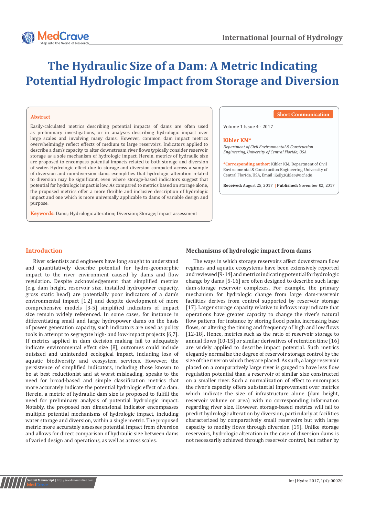## **The Hydraulic Size of a Dam: A Metric Indicating Potential Hydrologic Impact from Storage and Diversion**

#### **Abstract**

Easily-calculated metrics describing potential impacts of dams are often used as preliminary investigations, or in analyses describing hydrologic impact over large scales and involving many dams. However, common dam impact metrics overwhelmingly reflect effects of medium to large reservoirs. Indicators applied to describe a dam's capacity to alter downstream river flows typically consider reservoir storage as a sole mechanism of hydrologic impact. Herein, metrics of hydraulic size are proposed to encompass potential impacts related to both storage and diversion of water. Hydrologic effect due to storage and diversion computed across a sample of diversion and non-diversion dams exemplifies that hydrologic alteration related to diversion may be significant, even where storage-based indicators suggest that potential for hydrologic impact is low. As compared to metrics based on storage alone, the proposed metrics offer a more flexible and inclusive description of hydrologic impact and one which is more universally applicable to dams of variable design and purpose.

**Keywords:** Dams; Hydrologic alteration; Diversion; Storage; Impact assessment

#### **Short Communication**

Volume 1 Issue 4 - 2017

#### Kihler KM\*

*Department of Civil Environmental & Construction Engineering, University of Central Florida, USA*

**\*Corresponding author:** Kibler KM, Department of Civil Environmental & Construction Engineering, University of Central Florida, USA, Email:

**Received:** August 25, 2017 **| Published:** November 02, 2017

#### **Introduction**

River scientists and engineers have long sought to understand and quantitatively describe potential for hydro-geomorphic impact to the river environment caused by dams and flow regulation. Despite acknowledgement that simplified metrics (e.g. dam height, reservoir size, installed hydropower capacity, gross static head) are potentially poor indicators of a dam's environmental impact [1,2] and despite development of more comprehensive models [3-5] simplified indicators of impact size remain widely referenced. In some cases, for instance in differentiating small and large hydropower dams on the basis of power generation capacity, such indicators are used as policy tools in attempt to segregate high- and low-impact projects [6,7]. If metrics applied in dam decision making fail to adequately indicate environmental effect size [8], outcomes could include outsized and unintended ecological impact, including loss of aquatic biodiversity and ecosystem services. However, the persistence of simplified indicators, including those known to be at best reductionist and at worst misleading, speaks to the need for broad-based and simple classification metrics that more accurately indicate the potential hydrologic effect of a dam. Herein, a metric of hydraulic dam size is proposed to fulfill the need for preliminary analysis of potential hydrologic impact. Notably, the proposed non dimensional indicator encompasses multiple potential mechanisms of hydrologic impact, including water storage and diversion, within a single metric. The proposed metric more accurately assesses potential impact from diversion and allows for direct comparison of hydraulic size between dams of varied design and operations, as well as across scales.

#### **Mechanisms of hydrologic impact from dams**

The ways in which storage reservoirs affect downstream flow regimes and aquatic ecosystems have been extensively reported and reviewed [9-14] and metrics indicating potential for hydrologic change by dams [5-16] are often designed to describe such large dam-storage reservoir complexes. For example, the primary mechanism for hydrologic change from large dam-reservoir facilities derives from control supported by reservoir storage [17]. Larger storage capacity relative to inflows may indicate that operations have greater capacity to change the river's natural flow pattern, for instance by storing flood peaks, increasing base flows, or altering the timing and frequency of high and low flows [12-18]. Hence, metrics such as the ratio of reservoir storage to annual flows [10-15] or similar derivatives of retention time [16] are widely applied to describe impact potential. Such metrics elegantly normalize the degree of reservoir storage control by the size of the river on which they are placed. As such, a large reservoir placed on a comparatively large river is gauged to have less flow regulation potential than a reservoir of similar size constructed on a smaller river. Such a normalization of effect to encompass the river's capacity offers substantial improvement over metrics which indicate the size of infrastructure alone (dam height, reservoir volume or area) with no corresponding information regarding river size. However, storage-based metrics will fail to predict hydrologic alteration by diversion, particularly at facilities characterized by comparatively small reservoirs but with large capacity to modify flows through diversion [19]. Unlike storage reservoirs, hydrologic alteration in the case of diversion dams is not necessarily achieved through reservoir control, but rather by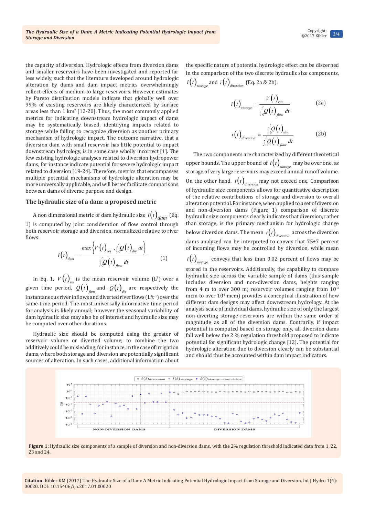the capacity of diversion. Hydrologic effects from diversion dams and smaller reservoirs have been investigated and reported far less widely, such that the literature developed around hydrologic alteration by dams and dam impact metrics overwhelmingly reflect effects of medium to large reservoirs. However, estimates by Pareto distribution models indicate that globally well over 99% of existing reservoirs are likely characterized by surface areas less than  $1 \text{ km}^2$  [12-20]. Thus, the most commonly applied metrics for indicating downstream hydrologic impact of dams may be systematically biased, identifying impacts related to storage while failing to recognize diversion as another primary mechanism of hydrologic impact. The outcome narrative, that a diversion dam with small reservoir has little potential to impact downstream hydrology, is in some case wholly incorrect [1]. The few existing hydrologic analyses related to diversion hydropower dams, for instance indicate potential for severe hydrologic impact related to diversion [19-24]. Therefore, metrics that encompasses multiple potential mechanisms of hydrologic alteration may be more universally applicable, and will better facilitate comparisons between dams of diverse purpose and design.

#### **The hydraulic size of a dam: a proposed metric**

### A non dimensional metric of dam hydraulic size  $i(t)$ <sub>dam</sub> (Eq.

1) is computed by joint consideration of flow control through both reservoir storage and diversion, normalized relative to river flows:

$$
i(t)_{\text{dam}} = \frac{\max\left\{V(t)_{\text{res}} \cdot \int_{0}^{t} Q(t)_{\text{div}} dt\right\}}{\int_{0}^{t} Q(t)_{\text{flow}} dt}
$$
(1)

In Eq. 1,  $V(t)_{res}$  is the mean reservoir volume (L<sup>3</sup>) over a given time period,  $Q(t)_{flow}$  and  $Q(t)_{div}$  are respectively the instantaneous river inflows and diverted river flows  $(L^{3}t^{-1})$  over the same time period. The most universally informative time period for analysis is likely annual; however the seasonal variability of dam hydraulic size may also be of interest and hydraulic size may be computed over other durations.

Hydraulic size should be computed using the greater of reservoir volume or diverted volume; to combine the two additively could be misleading, for instance, in the case of irrigation dams, where both storage and diversion are potentially significant sources of alteration. In such cases, additional information about the specific nature of potential hydrologic effect can be discerned in the comparison of the two discrete hydraulic size components,  $i(t)$ <sub>storage</sub> and  $i(t)$ <sub>diversion</sub> (Eq. 2a & 2b).

$$
i(t)_{\text{storage}} = \frac{V(t)_{\text{res}}}{\int_{0}^{t} Q(t)_{\text{flow}}} dt
$$
 (2a)

$$
i\left(t\right)_{\text{diversion}} = \frac{\int_{0}^{t} Q\left(t\right)_{\text{div}}}{\int_{0}^{t} Q\left(t\right)_{\text{flow}}} dt
$$
 (2b)

The two components are characterized by different theoretical upper bounds. The upper bound of  $i(t)_{\textit{storage}}$  may be over one, as storage of very large reservoirs may exceed annual runoff volume. On the other hand,  $i(t)$ <sub>diversion</sub> may not exceed one. Comparison of hydraulic size components allows for quantitative description of the relative contributions of storage and diversion to overall alteration potential. For instance, when applied to a set of diversion and non-diversion dams (Figure 1) comparison of discrete hydraulic size components clearly indicates that diversion, rather than storage, is the primary mechanism for hydrologic change below diversion dams. The mean  $i(t)$ <sub>diversion</sub> across the diversion</sub> dams analyzed can be interpreted to convey that 75±7 percent of incoming flows may be controlled by diversion, while mean  $i(t)$ <sub>storage</sub> conveys that less than 0.02 percent of flows may be

stored in the reservoirs. Additionally, the capability to compare hydraulic size across the variable sample of dams (this sample includes diversion and non-diversion dams, heights ranging from 4 m to over 300 m; reservoir volumes ranging from  $10^{-3}$ mcm to over 104 mcm) provides a conceptual illustration of how different dam designs may affect downstream hydrology. At the analysis scale of individual dams, hydraulic size of only the largest non-diverting storage reservoirs are within the same order of magnitude as all of the diversion dams. Contrarily, if impact potential is computed based on storage only, all diversion dams fall well below the 2 % regulation threshold proposed to indicate potential for significant hydrologic change [12]. The potential for hydrologic alteration due to diversion clearly can be substantial and should thus be accounted within dam impact indicators.



Figure 1: Hydraulic size components of a sample of diversion and non-diversion dams, with the 2% regulation threshold indicated data from 1, 22, 23 and 24.

**Citation:** Kibler KM (2017) The Hydraulic Size of a Dam: A Metric Indicating Potential Hydrologic Impact from Storage and Diversion. Int J Hydro 1(4): 00020. DOI: [10.15406/ijh.2017.01.00020](http://dx.doi.org/10.15406/ijh.2017.01.00020)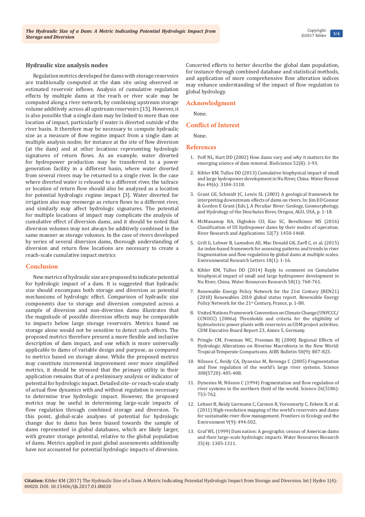#### **Hydraulic size analysis nodes**

Regulation metrics developed for dams with storage reservoirs are traditionally computed at the dam site using observed or estimated reservoir inflows. Analysis of cumulative regulation effects by multiple dams at the reach or river scale may be computed along a river network, by combining upstream storage volume additively across all upstream reservoirs [15]. However, it is also possible that a single dam may be linked to more than one location of impact, particularly if water is diverted outside of the river basin. It therefore may be necessary to compute hydraulic size as a measure of flow regime impact from a single dam at multiple analysis nodes; for instance at the site of flow diversion (at the dam) and at other locations representing hydrologic signatures of return flows. As an example, water diverted for hydropower production may be transferred to a power generation facility in a different basin, where water diverted from several rivers may be returned to a single river. In the case where diverted water is released to a different river, the tailrace or location of return flow should also be analyzed as a location for potential hydrologic regime impact [3]. Water diverted for irrigation also may reemerge as return flows to a different river, and similarly may affect hydrologic signatures. The potential for multiple locations of impact may complicate the analysis of cumulative effect of diversion dams, and it should be noted that diversion volumes may not always be additively combined in the same manner as storage volumes. In the case of rivers developed by series of several diversion dams, thorough understanding of diversion and return flow locations are necessary to create a reach-scale cumulative impact metrics

#### **Conclusion**

New metrics of hydraulic size are proposed to indicate potential for hydrologic impact of a dam. It is suggested that hydraulic size should encompass both storage and diversion as potential mechanisms of hydrologic effect. Comparison of hydraulic size components due to storage and diversion computed across a sample of diversion and non-diversion dams illustrates that the magnitude of possible diversion effects may be comparable to impacts below large storage reservoirs. Metrics based on storage alone would not be sensitive to detect such effects. The proposed metrics therefore present a more flexible and inclusive description of dam impact, and one which is more universally applicable to dams of variable design and purpose, as compared to metrics based on storage alone. While the proposed metrics may constitute incremental improvement over more simplified metrics, it should be stressed that the primary utility in their application remains that of a preliminary analysis or indicator of potential for hydrologic impact. Detailed site- or reach-scale study of actual flow dynamics with and without regulation is necessary to determine true hydrologic impact. However, the proposed metrics may be useful in determining large-scale impacts of flow regulation through combined storage and diversion. To this point, global-scale analyses of potential for hydrologic change due to dams has been biased towards the sample of dams represented in global databases, which are likely larger, with greater storage potential, relative to the global population of dams. Metrics applied in past global assessments additionally have not accounted for potential hydrologic impacts of diversion.

Concerted efforts to better describe the global dam population, for instance through combined database and statistical methods, and application of more comprehensive flow alteration indices may enhance understanding of the impact of flow regulation to global hydrology.

#### **Acknowledgment**

None.

#### **Conflict of Interest**

None.

#### **References**

- 1. [Poff NL, Hart DD \(2002\) How dams vary and why it matters for the](http://citeseerx.ist.psu.edu/viewdoc/download?doi=10.1.1.423.1233&rep=rep1&type=pdf)  [emerging science of dam removal. BioScience 52\(8\): 1-93.](http://citeseerx.ist.psu.edu/viewdoc/download?doi=10.1.1.423.1233&rep=rep1&type=pdf)
- 2. [Kibler KM, Tullos DD \(2013\) Cumulative biophysical impact of small](http://onlinelibrary.wiley.com/doi/10.1002/wrcr.20243/abstract)  [and large hydropower development in Nu River, China. Water Resour](http://onlinelibrary.wiley.com/doi/10.1002/wrcr.20243/abstract)  [Res 49\(6\): 3104-3118.](http://onlinelibrary.wiley.com/doi/10.1002/wrcr.20243/abstract)
- 3. [Grant GE, Schmidt JC, Lewis SL \(2003\) A geological framework for](http://wpg.forestry.oregonstate.edu/sites/wpg/files/bibliopdfs/03GrantetalDeschutes.pdf)  [interpreting downstream effects of dams on rivers. In: Jim EO Connor](http://wpg.forestry.oregonstate.edu/sites/wpg/files/bibliopdfs/03GrantetalDeschutes.pdf)  [& Gordon E Grant \(Eds.\), A Peculiar River: Geology, Geomorphology,](http://wpg.forestry.oregonstate.edu/sites/wpg/files/bibliopdfs/03GrantetalDeschutes.pdf)  [and Hydrology of the Deschutes River, Oregon, AGU, USA, p. 1-18.](http://wpg.forestry.oregonstate.edu/sites/wpg/files/bibliopdfs/03GrantetalDeschutes.pdf)
- 4. [McManamay RA, Oigbokie CO, Kao SC, Bevelhimer MS \(2016\)](http://onlinelibrary.wiley.com/doi/10.1002/rra.3004/full)  [Classification of US hydropower dams by their modes of operation.](http://onlinelibrary.wiley.com/doi/10.1002/rra.3004/full)  [River Research and Applications 32\(7\): 1450-1468.](http://onlinelibrary.wiley.com/doi/10.1002/rra.3004/full)
- 5. [Grill G, Lehner B, Lumsdon AE, Mac Donald GK, Zarfl C, et al. \(2015\)](http://iopscience.iop.org/article/10.1088/1748-9326/10/1/015001/pdf)  [An index-based framework for assessing patterns and trends in river](http://iopscience.iop.org/article/10.1088/1748-9326/10/1/015001/pdf)  [fragmentation and flow regulation by global dams at multiple scales.](http://iopscience.iop.org/article/10.1088/1748-9326/10/1/015001/pdf)  [Environmental Research Letters 10\(1\): 1-16.](http://iopscience.iop.org/article/10.1088/1748-9326/10/1/015001/pdf)
- 6. [Kibler KM, Tullos DD \(2014\) Reply to comment on Cumulative](http://onlinelibrary.wiley.com/doi/10.1002/2013WR014629/full)  [biophysical impact of small and large hydropower development in](http://onlinelibrary.wiley.com/doi/10.1002/2013WR014629/full)  [Nu River, China. Water Resources Research 50\(1\): 760-761.](http://onlinelibrary.wiley.com/doi/10.1002/2013WR014629/full)
- 7. [Renewable Energy Policy Network for the 21st Century \(REN21\)](http://www.ren21.net/Portals/0/documents/activities/gsr/REN21_GSR_2010_full_revised%20Sept2010.pdf)  [\(2010\) Renewables 2010 global status report. Renewable Energy](http://www.ren21.net/Portals/0/documents/activities/gsr/REN21_GSR_2010_full_revised%20Sept2010.pdf)  Policy Network for the 21<sup>st</sup> [Century, France, p. 1-80.](http://www.ren21.net/Portals/0/documents/activities/gsr/REN21_GSR_2010_full_revised%20Sept2010.pdf)
- 8. United Nations Framework Convention on Climate Change (UNFCCC/ CCNUCC) (2006a) Thresholds and criteria for the eligibility of hydroelectric power plants with reservoirs as CDM project activities. CDM Executive Board Report 23, Annex 5, Germany.
- 9. [Pringle CM, Freeman MC, Freeman BJ \(2000\) Regional Effects of](https://academic.oup.com/bioscience/article/50/9/807/269632)  [Hydrologic Alterations on Riverine Macrobiota in the New World:](https://academic.oup.com/bioscience/article/50/9/807/269632)  [Tropical-Temperate Comparisons. AIBS Bulletin 50\(9\): 807-823.](https://academic.oup.com/bioscience/article/50/9/807/269632)
- 10. [Nilsson C, Reidy CA, Dynesius M, Revenga C \(2005\) Fragmentation](https://www.ncbi.nlm.nih.gov/pubmed/15831757)  [and flow regulation of the world's large river systems. Science](https://www.ncbi.nlm.nih.gov/pubmed/15831757)  [308\(5720\): 405-408.](https://www.ncbi.nlm.nih.gov/pubmed/15831757)
- 11. [Dynesius M, Nilsson C \(1994\) Fragmentation and flow regulation of](http://science.sciencemag.org/content/266/5186/753)  [river systems in the northern third of the world. Science 26\(5186\):](http://science.sciencemag.org/content/266/5186/753)  [753-762.](http://science.sciencemag.org/content/266/5186/753)
- 12. [Lehner B, Reidy Liermann C, Carmen R, Vorosmarty C, Fekete B, et al.](http://onlinelibrary.wiley.com/doi/10.1890/100125/abstract)  [\(2011\) High-resolution mapping of the world's reservoirs and dams](http://onlinelibrary.wiley.com/doi/10.1890/100125/abstract)  [for sustainable river-flow management. Frontiers in Ecology and the](http://onlinelibrary.wiley.com/doi/10.1890/100125/abstract)  [Environment 9\(9\): 494-502.](http://onlinelibrary.wiley.com/doi/10.1890/100125/abstract)
- 13. [Graf WL \(1999\) Dam nation: A geographic census of American dams](http://onlinelibrary.wiley.com/doi/10.1029/1999WR900016/pdf)  [and their large-scale hydrologic impacts. Water Resources Research](http://onlinelibrary.wiley.com/doi/10.1029/1999WR900016/pdf)  [35\(4\): 1305-1311.](http://onlinelibrary.wiley.com/doi/10.1029/1999WR900016/pdf)